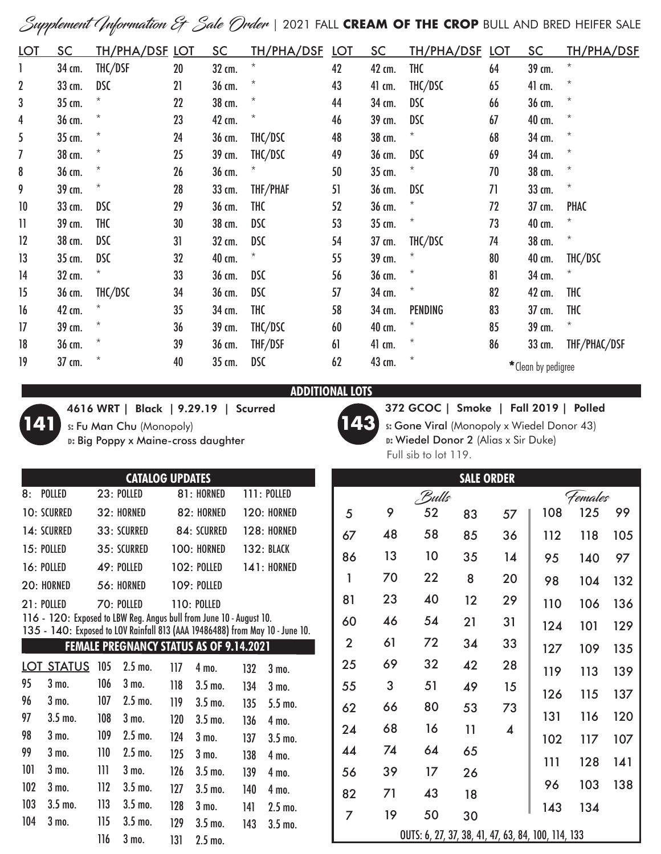Supplement Information & Sale Order | 2021 FALL **CREAM OF THE CROP** BULL AND BRED HEIFER SALE

| <u>LOT</u>       | <u>SC</u> | TH/PHA/DSF LOT |    | <b>SC</b> | TH/PHA/DSF | <u>LOT</u> | <u>SC</u> | <u>TH/PHA/DSF_LOT</u> |    | <b>SC</b>           | <b>TH/PHA/DSF</b> |
|------------------|-----------|----------------|----|-----------|------------|------------|-----------|-----------------------|----|---------------------|-------------------|
|                  | 34 cm.    | THC/DSF        | 20 | 32 cm.    | $\star$    | 42         | 42 cm.    | <b>THC</b>            | 64 | 39 cm.              | $^\star$          |
| $\boldsymbol{2}$ | 33 cm.    | <b>DSC</b>     | 21 | 36 cm.    | $^\star$   | 43         | 41 cm.    | THC/DSC               | 65 | 41 cm.              | $^{\star}$        |
| 3                | 35 cm.    |                | 22 | 38 cm.    | $\star$    | 44         | 34 cm.    | <b>DSC</b>            | 66 | 36 cm.              | $^{\star}$        |
| 4                | 36 cm.    | $^{\star}$     | 23 | 42 cm.    | $^\star$   | 46         | 39 cm.    | <b>DSC</b>            | 67 | 40 cm.              | $^\star$          |
| 5                | 35 cm.    | $^{\star}$     | 24 | 36 cm.    | THC/DSC    | 48         | 38 cm.    |                       | 68 | 34 cm.              | $^\star$          |
| 7                | 38 cm.    | $^{\star}$     | 25 | 39 cm.    | THC/DSC    | 49         | 36 cm.    | <b>DSC</b>            | 69 | 34 cm.              | $^\star$          |
| 8                | 36 cm.    | $^{\star}$     | 26 | 36 cm.    | $^\star$   | 50         | 35 cm.    | *                     | 70 | 38 cm.              | $^\star$          |
| 9                | 39 cm.    | $^\star$       | 28 | 33 cm.    | THF/PHAF   | 51         | 36 cm.    | <b>DSC</b>            | 71 | 33 cm.              | $^{\star}$        |
| 10               | 33 cm.    | <b>DSC</b>     | 29 | 36 cm.    | <b>THC</b> | 52         | 36 cm.    |                       | 72 | 37 cm.              | PHAC              |
| $\mathbf{1}$     | 39 cm.    | <b>THC</b>     | 30 | 38 cm.    | <b>DSC</b> | 53         | 35 cm.    | $^{\star}$            | 73 | 40 cm.              | $^\star$          |
| 12               | 38 cm.    | <b>DSC</b>     | 31 | 32 cm.    | <b>DSC</b> | 54         | 37 cm.    | THC/DSC               | 74 | 38 cm.              | $\star$           |
| 13               | 35 cm.    | <b>DSC</b>     | 32 | 40 cm.    | $^{\star}$ | 55         | 39 cm.    | $^\star$              | 80 | 40 cm.              | THC/DSC           |
| 14               | 32 cm.    |                | 33 | 36 cm.    | <b>DSC</b> | 56         | 36 cm.    | $^\star$              | 81 | 34 cm.              |                   |
| 15               | 36 cm.    | THC/DSC        | 34 | 36 cm.    | <b>DSC</b> | 57         | 34 cm.    | $^\star$              | 82 | 42 cm.              | <b>THC</b>        |
| 16               | 42 cm.    |                | 35 | 34 cm.    | <b>THC</b> | 58         | 34 cm.    | PENDING               | 83 | 37 cm.              | <b>THC</b>        |
| 17               | 39 cm.    |                | 36 | 39 cm.    | THC/DSC    | 60         | 40 cm.    | $^\star$              | 85 | 39 cm.              | $^{\star}$        |
| 18               | 36 cm.    | $^\star$       | 39 | 36 cm.    | THF/DSF    | 61         | 41 cm.    | $^\star$              | 86 | 33 cm.              | THF/PHAC/DSF      |
| 19               | 37 cm.    | $^\star$       | 40 | 35 cm.    | <b>DSC</b> | 62         | 43 cm.    | $^\star$              |    | * Clean by pedigree |                   |

**ADDITIONAL LOTS** 



4616 WRT | Black | 9.29.19 | Scurred **s:** Fu Man Chu (Monopoly)

**d:** Big Poppy x Maine-cross daughter



372 GCOC | Smoke | Fall 2019 | Polled **s:** Gone Viral (Monopoly x Wiedel Donor 43)

**d:** Wiedel Donor 2 (Alias x Sir Duke) Full sib to lot 119.

| <b>CATALOG UPDATES</b>                         |                                                                              |     |                  |     |                    |     |                    |  |  |  |
|------------------------------------------------|------------------------------------------------------------------------------|-----|------------------|-----|--------------------|-----|--------------------|--|--|--|
| 8:                                             | <b>POLLED</b>                                                                |     | $23:$ POLLED     |     | 81: HORNED         |     | <b>111: POLLED</b> |  |  |  |
|                                                | <b>10: SCURRED</b>                                                           |     | 32: HORNED       |     | 82: HORNED         |     | 120: HORNED        |  |  |  |
|                                                | 14: SCURRED                                                                  |     | 33: SCURRED      |     | 84: SCURRED        |     | <b>128: HORNED</b> |  |  |  |
|                                                | 15: POLLED                                                                   |     | 35: SCURRED      |     | 100: HORNED        |     | <b>132: BLACK</b>  |  |  |  |
|                                                | 16: POLLED                                                                   |     | 49: POLLED       |     | <b>102: POLLED</b> |     | <b>141: HORNED</b> |  |  |  |
|                                                | $20:$ HORNED                                                                 |     | 56: HORNED       |     | <b>109: POLLED</b> |     |                    |  |  |  |
|                                                | 70: POLLED<br>$21:$ POLLED<br><b>110: POLLED</b>                             |     |                  |     |                    |     |                    |  |  |  |
|                                                | 116 - 120: Exposed to LBW Reg. Angus bull from June 10 - August 10.          |     |                  |     |                    |     |                    |  |  |  |
|                                                | 135 - 140: Exposed to LOV Rainfall 813 (AAA 19486488) from May 10 - June 10. |     |                  |     |                    |     |                    |  |  |  |
| <b>FEMALE PREGNANCY STATUS AS OF 9.14.2021</b> |                                                                              |     |                  |     |                    |     |                    |  |  |  |
|                                                | LOT STATUS                                                                   | 105 | $2.5$ mo.        | 117 | 4 mo.              | 132 | $3 \text{ mo}$ .   |  |  |  |
| 95                                             | 3 mo.                                                                        | 106 | $3 \text{ mo}$ . | 118 | $3.5$ mo.          | 134 | $3 \text{ ma}$     |  |  |  |
| 96                                             | 3 mo.                                                                        | 107 | $2.5$ mo.        | 119 | $3.5$ mo.          | 135 | $5.5$ mo.          |  |  |  |
| 97                                             | $3.5$ mo.                                                                    | 108 | $3 \text{ mo}$ . | 120 | $3.5$ mo.          | 136 | 4 mo.              |  |  |  |
| 98                                             | $3 \text{ mo}$ .                                                             | 109 | $2.5$ mo.        | 124 | $3 \text{ mo}$ .   | 137 | $3.5$ mo.          |  |  |  |
| 99                                             | $3 \text{ mo}$ .                                                             | 110 | $2.5$ mo.        | 125 | 3 mo.              | 138 | 4 mo.              |  |  |  |
| 101                                            | $3 \text{ mo}$ .                                                             | 111 | $3 \text{ mo}$ . | 126 | $3.5$ mo.          | 139 | 4 mo.              |  |  |  |
| 102                                            | $3 \text{ mo}$ .                                                             | 112 | $3.5$ mo.        | 127 | $3.5$ mo.          | 140 | 4 mo.              |  |  |  |
| 103                                            | $3.5 \text{ mo}$ .                                                           | 113 | $3.5$ mo.        | 128 | 3 mo.              | 141 | $2.5$ mo.          |  |  |  |
| 104                                            | 3 mo.                                                                        | 115 | $3.5$ mo.        | 129 | $3.5$ mo.          | 143 | $3.5mo$ .          |  |  |  |
|                                                |                                                                              | 116 | 3 mo.            | 131 | $2.5$ mo.          |     |                    |  |  |  |
|                                                |                                                                              |     |                  |     |                    |     |                    |  |  |  |

| <b>SALE ORDER</b>                                  |    |       |                |                         |     |     |     |  |  |  |
|----------------------------------------------------|----|-------|----------------|-------------------------|-----|-----|-----|--|--|--|
|                                                    |    | Bulls | <i>Females</i> |                         |     |     |     |  |  |  |
| 5                                                  | 9  | 52    | 83             | 57                      | 108 | 125 | 99  |  |  |  |
| 67                                                 | 48 | 58    | 85             | 36                      | 112 | 118 | 105 |  |  |  |
| 86                                                 | 13 | 10    | 35             | 14                      | 95  | 140 | 97  |  |  |  |
| 1                                                  | 70 | 22    | 8              | 20                      | 98  | 104 | 132 |  |  |  |
| 81                                                 | 23 | 40    | 12             | 29                      | 110 | 106 | 136 |  |  |  |
| 60                                                 | 46 | 54    | 21             | 31                      | 124 | 101 | 129 |  |  |  |
| $\overline{2}$                                     | 61 | 72    | 34             | 33                      | 127 | 109 | 135 |  |  |  |
| 25                                                 | 69 | 32    | 42             | 28                      | 119 | 113 | 139 |  |  |  |
| 55                                                 | 3  | 51    | 49             | 15                      | 126 | 115 | 137 |  |  |  |
| 62                                                 | 66 | 80    | 53             | 73                      | 131 | 116 | 120 |  |  |  |
| 24                                                 | 68 | 16    | 11             | $\overline{\mathbf{A}}$ | 102 | 117 | 107 |  |  |  |
| 44                                                 | 74 | 64    | 65             |                         |     |     |     |  |  |  |
| 56                                                 | 39 | 17    | 26             |                         | 111 | 128 | 141 |  |  |  |
| 82                                                 | 71 | 43    | 18             |                         | 96  | 103 | 138 |  |  |  |
| 7                                                  | 19 | 50    | 30             |                         | 143 | 134 |     |  |  |  |
| OUTS: 6, 27, 37, 38, 41, 47, 63, 84, 100, 114, 133 |    |       |                |                         |     |     |     |  |  |  |